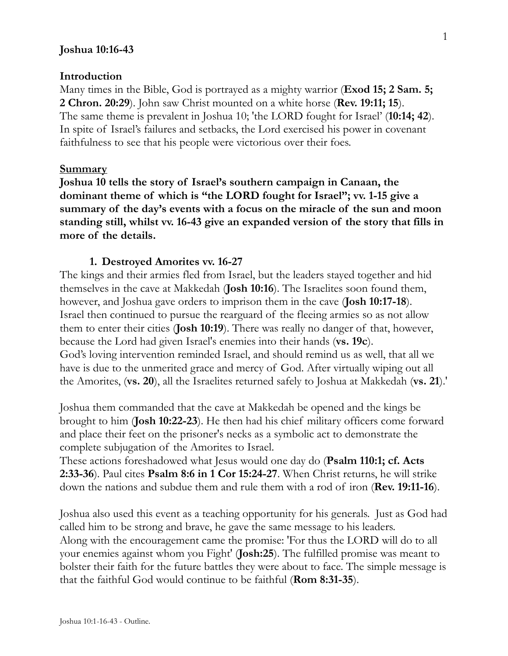### **Joshua 10:16-43**

#### **Introduction**

Many times in the Bible, God is portrayed as a mighty warrior (**Exod 15; 2 Sam. 5; 2 Chron. 20:29**). John saw Christ mounted on a white horse (**Rev. 19:11; 15**). The same theme is prevalent in Joshua 10; 'the LORD fought for Israel' (**10:14; 42**). In spite of Israel's failures and setbacks, the Lord exercised his power in covenant faithfulness to see that his people were victorious over their foes.

#### **Summary**

**Joshua 10 tells the story of Israel's southern campaign in Canaan, the dominant theme of which is "the LORD fought for Israel"; vv. 1-15 give a summary of the day's events with a focus on the miracle of the sun and moon standing still, whilst vv. 16-43 give an expanded version of the story that fills in more of the details.**

#### **1. Destroyed Amorites vv. 16-27**

The kings and their armies fled from Israel, but the leaders stayed together and hid themselves in the cave at Makkedah (**Josh 10:16**). The Israelites soon found them, however, and Joshua gave orders to imprison them in the cave (**Josh 10:17-18**). Israel then continued to pursue the rearguard of the fleeing armies so as not allow them to enter their cities (**Josh 10:19**). There was really no danger of that, however, because the Lord had given Israel's enemies into their hands (**vs. 19c**). God's loving intervention reminded Israel, and should remind us as well, that all we have is due to the unmerited grace and mercy of God. After virtually wiping out all the Amorites, (**vs. 20**), all the Israelites returned safely to Joshua at Makkedah (**vs. 21**).'

Joshua them commanded that the cave at Makkedah be opened and the kings be brought to him (**Josh 10:22-23**). He then had his chief military officers come forward and place their feet on the prisoner's necks as a symbolic act to demonstrate the complete subjugation of the Amorites to Israel.

These actions foreshadowed what Jesus would one day do (**Psalm 110:1; cf. Acts 2:33-36**). Paul cites **Psalm 8:6 in 1 Cor 15:24-27**. When Christ returns, he will strike down the nations and subdue them and rule them with a rod of iron (**Rev. 19:11-16**).

Joshua also used this event as a teaching opportunity for his generals. Just as God had called him to be strong and brave, he gave the same message to his leaders. Along with the encouragement came the promise: 'For thus the LORD will do to all your enemies against whom you Fight' (**Josh:25**). The fulfilled promise was meant to bolster their faith for the future battles they were about to face. The simple message is that the faithful God would continue to be faithful (**Rom 8:31-35**).